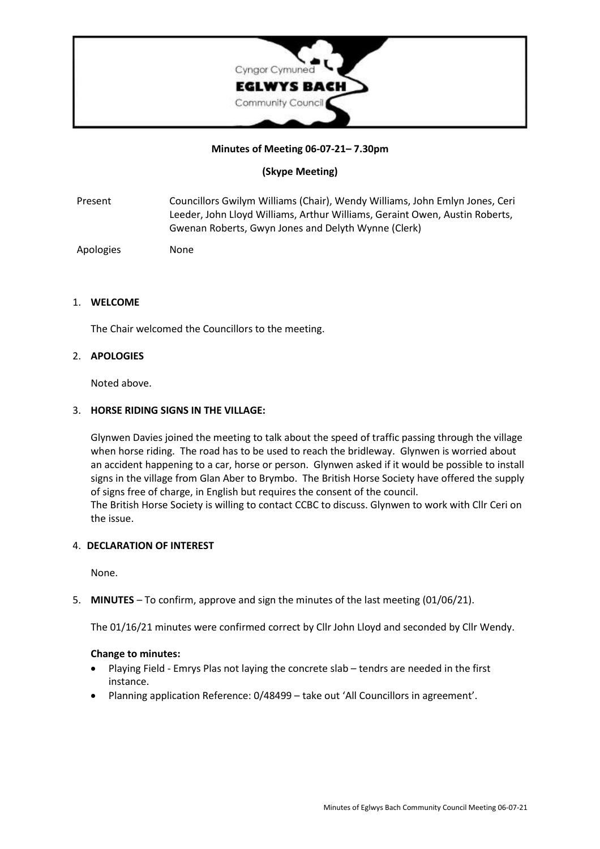

### **Minutes of Meeting 06-07-21– 7.30pm**

# **(Skype Meeting)**

Present Councillors Gwilym Williams (Chair), Wendy Williams, John Emlyn Jones, Ceri Leeder, John Lloyd Williams, Arthur Williams, Geraint Owen, Austin Roberts, Gwenan Roberts, Gwyn Jones and Delyth Wynne (Clerk)

Apologies None

### 1. **WELCOME**

The Chair welcomed the Councillors to the meeting.

#### 2. **APOLOGIES**

Noted above.

#### 3. **HORSE RIDING SIGNS IN THE VILLAGE:**

Glynwen Davies joined the meeting to talk about the speed of traffic passing through the village when horse riding. The road has to be used to reach the bridleway. Glynwen is worried about an accident happening to a car, horse or person. Glynwen asked if it would be possible to install signs in the village from Glan Aber to Brymbo. The British Horse Society have offered the supply of signs free of charge, in English but requires the consent of the council. The British Horse Society is willing to contact CCBC to discuss. Glynwen to work with Cllr Ceri on the issue.

### 4. **DECLARATION OF INTEREST**

None.

5. **MINUTES** – To confirm, approve and sign the minutes of the last meeting (01/06/21).

The 01/16/21 minutes were confirmed correct by Cllr John Lloyd and seconded by Cllr Wendy.

#### **Change to minutes:**

- Playing Field Emrys Plas not laying the concrete slab tendrs are needed in the first instance.
- Planning application Reference: 0/48499 take out 'All Councillors in agreement'.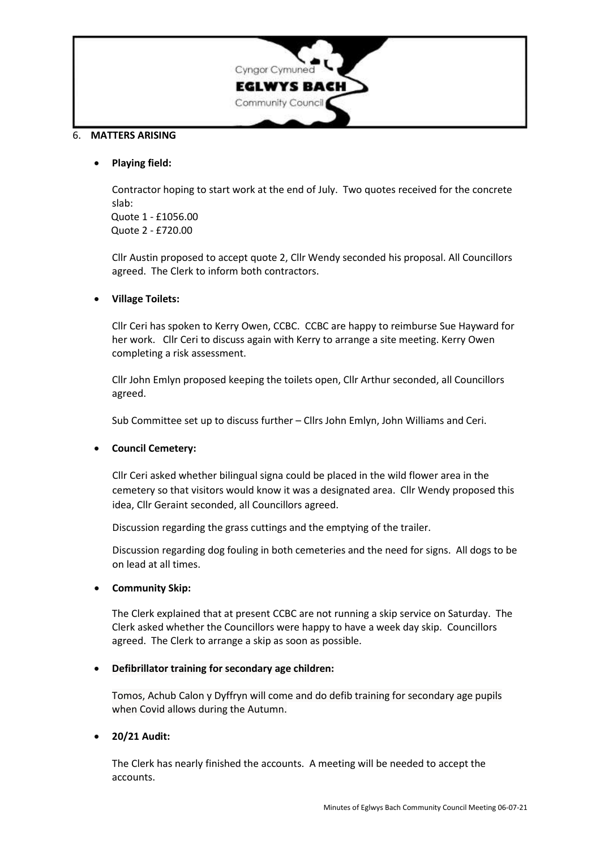

### 6. **MATTERS ARISING**

### • **Playing field:**

Contractor hoping to start work at the end of July. Two quotes received for the concrete slab:

Quote 1 - £1056.00 Quote 2 - £720.00

Cllr Austin proposed to accept quote 2, Cllr Wendy seconded his proposal. All Councillors agreed. The Clerk to inform both contractors.

# • **Village Toilets:**

Cllr Ceri has spoken to Kerry Owen, CCBC. CCBC are happy to reimburse Sue Hayward for her work. Cllr Ceri to discuss again with Kerry to arrange a site meeting. Kerry Owen completing a risk assessment.

Cllr John Emlyn proposed keeping the toilets open, Cllr Arthur seconded, all Councillors agreed.

Sub Committee set up to discuss further – Cllrs John Emlyn, John Williams and Ceri.

### • **Council Cemetery:**

Cllr Ceri asked whether bilingual signa could be placed in the wild flower area in the cemetery so that visitors would know it was a designated area. Cllr Wendy proposed this idea, Cllr Geraint seconded, all Councillors agreed.

Discussion regarding the grass cuttings and the emptying of the trailer.

Discussion regarding dog fouling in both cemeteries and the need for signs. All dogs to be on lead at all times.

### • **Community Skip:**

The Clerk explained that at present CCBC are not running a skip service on Saturday. The Clerk asked whether the Councillors were happy to have a week day skip. Councillors agreed. The Clerk to arrange a skip as soon as possible.

### • **Defibrillator training for secondary age children:**

Tomos, Achub Calon y Dyffryn will come and do defib training for secondary age pupils when Covid allows during the Autumn.

### • **20/21 Audit:**

The Clerk has nearly finished the accounts. A meeting will be needed to accept the accounts.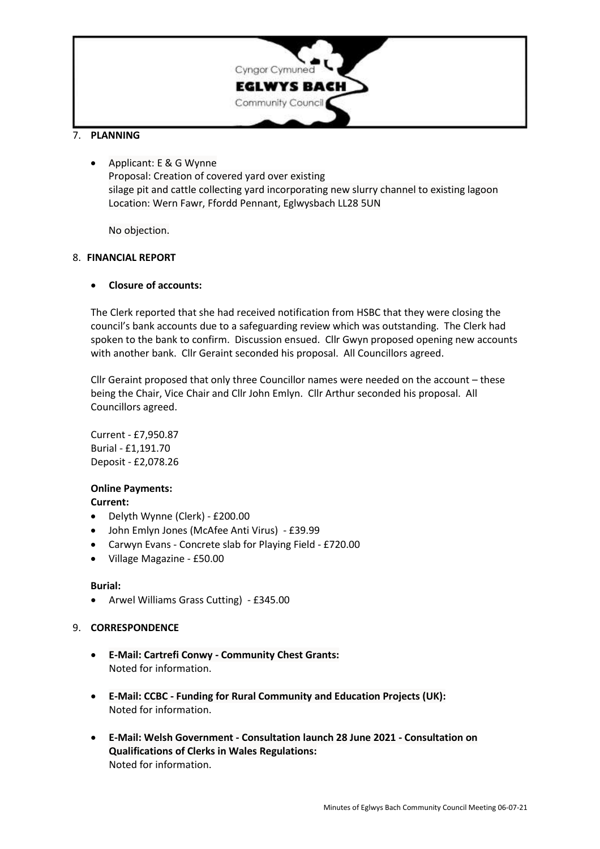

# 7. **PLANNING**

• Applicant: E & G Wynne Proposal: Creation of covered yard over existing silage pit and cattle collecting yard incorporating new slurry channel to existing lagoon Location: Wern Fawr, Ffordd Pennant, Eglwysbach LL28 5UN

No objection.

### 8. **FINANCIAL REPORT**

### • **Closure of accounts:**

The Clerk reported that she had received notification from HSBC that they were closing the council's bank accounts due to a safeguarding review which was outstanding. The Clerk had spoken to the bank to confirm. Discussion ensued. Cllr Gwyn proposed opening new accounts with another bank. Cllr Geraint seconded his proposal. All Councillors agreed.

Cllr Geraint proposed that only three Councillor names were needed on the account – these being the Chair, Vice Chair and Cllr John Emlyn. Cllr Arthur seconded his proposal. All Councillors agreed.

Current - £7,950.87 Burial - £1,191.70 Deposit - £2,078.26

### **Online Payments:**

### **Current:**

- Delyth Wynne (Clerk) £200.00
- John Emlyn Jones (McAfee Anti Virus) £39.99
- Carwyn Evans Concrete slab for Playing Field £720.00
- Village Magazine £50.00

### **Burial:**

• Arwel Williams Grass Cutting) - £345.00

### 9. **CORRESPONDENCE**

- **E-Mail: Cartrefi Conwy - Community Chest Grants:** Noted for information.
- **E-Mail: CCBC - Funding for Rural Community and Education Projects (UK):** Noted for information.
- **E-Mail: Welsh Government - Consultation launch 28 June 2021 - Consultation on Qualifications of Clerks in Wales Regulations:** Noted for information.